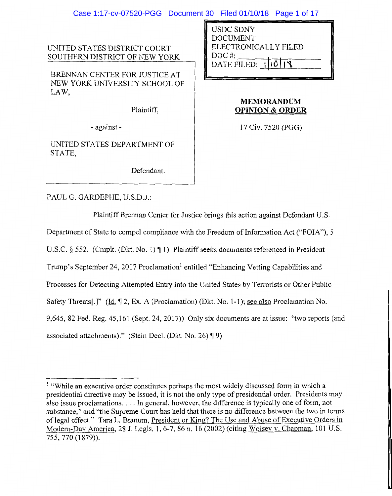### Case 1:17-cv-07520-PGG Document 30 Filed 01/10/18 Page 1 of 17

UNITED STATES DISTRICT COURT SOUTHERN DISTRICT OF NEW YORK

BRENNAN CENTER FOR JUSTICE AT NEW YORK UNIVERSITY SCHOOL OF LAW,

Plaintiff,

- against -

UNITED STATES DEPARTMENT OF STATE,

Defendant.

USDC SDNY DOCUMENT ELECTRONICALLY FILED DOC#: DATE FILED:  $|10\rangle$ 

## **MEMORANDUM OPINION & ORDER**

17 Civ. 7520 (PGG)

PAUL G. GARDEPHE, U.S.D.J.:

Plaintiff Brennan Center for Justice brings this action against Defendant U.S. Department of State to compel compliance with the Freedom of Information Act ("FOIA"), 5 U.S.C.  $\S$  552. (Cmplt. (Dkt. No. 1)  $\P$  1) Plaintiff seeks documents referenced in President Trump's September 24, 2017 Proclamation<sup>1</sup> entitled "Enhancing Vetting Capabilities and Processes for Detecting Attempted Entry into the United States by Terrorists or Other Public Safety Threats[.]" (Id. 12, Ex. A (Proclamation) (Dkt. No. 1-1); see also Proclamation No. 9,645, 82 Fed. Reg. 45,161(Sept.24, 2017)) Only six documents are at issue: "two reports (and associated attachments)." (Stein Decl. (Dkt. No. 26)  $\P$ 9)

<sup>&</sup>lt;sup>1</sup> "While an executive order constitutes perhaps the most widely discussed form in which a presidential directive may be issued, it is not the only type of presidential order. Presidents may also issue proclamations .... In general, however, the difference is typically one of form, not substance," and "the Supreme Court has held that there is no difference between the two in terms oflegal effect." Tara L. Branum, President or King? The Use and Abuse of Executive Orders in Modem-Day America, 28 J. Legis. 1, 6-7, 86 n. 16 (2002) (citing Wolsey v. Chapman, 101 U.S. 755, 770 (1879)).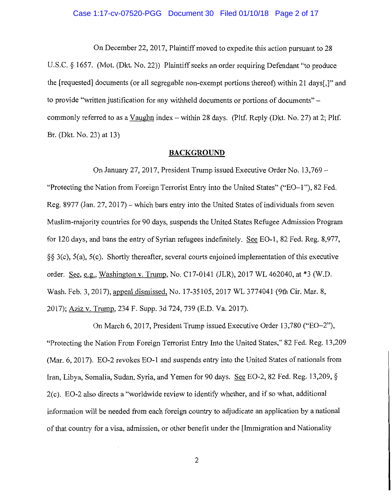### Case 1:17-cv-07520-PGG Document 30 Filed 01/10/18 Page 2 of 17

On December 22, 2017, Plaintiff moved to expedite this action pursuant to 28 U.S.C. § 1657. (Mot. (Dkt. No. 22)) Plaintiff seeks an order requiring Defendant "to produce the [requested] documents (or all segregable non-exempt portions thereof) within 21 days[,]" and to provide "written justification for any withheld documents or portions of documents" commonly referred to as a Vaughn index - within 28 days. (Pltf. Reply (Dkt. No. 27) at 2: Pltf. Br. (Dkt. No. 23) at 13)

#### **BACKGROUND**

On January 27, 2017, President Trump issued Executive Order No. 13,769 - "Protecting the Nation from Foreign Terrorist Entry into the United States" ("E0-1 "), 82 Fed. Reg. 8977 (Jan. 27, 2017) - which bars entry into the United States of individuals from seven Muslim-majority countries for 90 days, suspends the United States Refugee Admission Program for 120 days, and bans the entry of Syrian refugees indefinitely. See E0-1, 82 Fed. Reg. 8,977, §§ 3(c), 5(a), 5(c). Shortly thereafter, several courts enjoined implementation of this executive order. See, e.g., Washington v. Trump, No. C17-0141 (JLR), 2017 WL 462040, at \*3 (W.D. Wash. Feb. 3, 2017), appeal dismissed, No. 17-35105, 2017 WL 3774041 (9th Cir. Mar. 8, 2017); Aziz v. Trump, 234 F. Supp. 3d 724, 739 (E.D. Va. 2017).

On March 6, 2017, President Trump issued Executive Order 13,780 ("E0-2"), "Protecting the Nation From Foreign Terrorist Entry Into the United States," 82 Fed. Reg. 13,209 (Mar. 6, 2017). EO-2 revokes EO-1 and suspends entry into the United States of nationals from Iran, Libya, Somalia, Sudan, Syria, and Yemen for 90 days. See E0-2, 82 Fed. Reg. 13,209, § 2(c). E0-2 also directs a "worldwide review to identify whether, and if so what, additional information will be needed from each foreign country to adjudicate an application by a national of that country for a visa, admission, or other benefit under the [Immigration and Nationality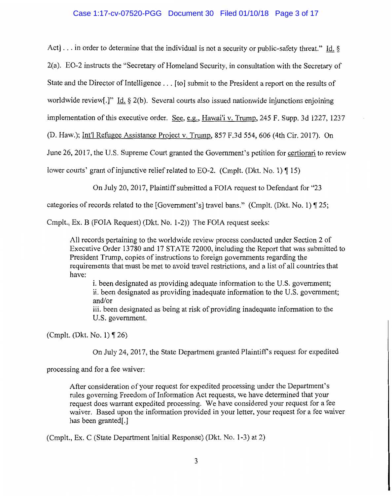## Case 1:17-cv-07520-PGG Document 30 Filed 01/10/18 Page 3 of 17

Act] ... in order to determine that the individual is not a security or public-safety threat." Id. §

2(a). E0-2 instructs the "Secretary of Homeland Security, in consultation with the Secretary of

State and the Director of Intelligence ... [to] submit to the President a report on the results of

worldwide review[.]" Id. § 2(b). Several courts also issued nationwide injunctions enjoining

implementation of this executive order. See, e.g., Hawai'i v. Trump, 245 F. Supp. 3d 1227, 1237

(D. Haw.); Int'l Refugee Assistance Project v. Trump, 857 F.3d 554, 606 (4th Cir. 2017). On

June 26, 2017, the U.S. Supreme Court granted the Government's petition for certiorari to review

lower courts' grant of injunctive relief related to EO-2. (Cmplt. (Dkt. No. 1)  $\P$  15)

On July 20, 2017, Plaintiff submitted a FOIA request to Defendant for "23

categories of records related to the [Government's] travel bans." (Cmplt. (Dkt. No. 1)  $\mathbb{I}$  25;

Cmplt., Ex. B (FOIA Request) (Dkt. No. 1-2)) The FOIA request seeks:

All records pertaining to the worldwide review process conducted under Section 2 of Executive Order 13780 and 17 STATE 72000, including the Report that was submitted to President Trump, copies of instructions to foreign governments regarding the requirements that must be met to avoid travel restrictions, and a list of all countries that have:

i. been designated as providing adequate information to the U.S. government; ii. been designated as providing inadequate information to the U.S. government; and/or

iii. been designated as being at risk of providing inadequate information to the U.S. government.

(Cmplt. (Dkt. No. 1)  $\P$  26)

On July 24, 2017, the State Department granted Plaintiff's request for expedited

processing and for a fee waiver:

After consideration of your request for expedited processing under the Department's rules governing Freedom of Information Act requests, we have determined that your request does warrant expedited processing. We have considered your request for a fee waiver. Based upon the information provided in your letter, your request for a fee waiver has been granted[.]

(Cmplt., Ex. C (State Department Initial Response) (Dkt. No. 1-3) at 2)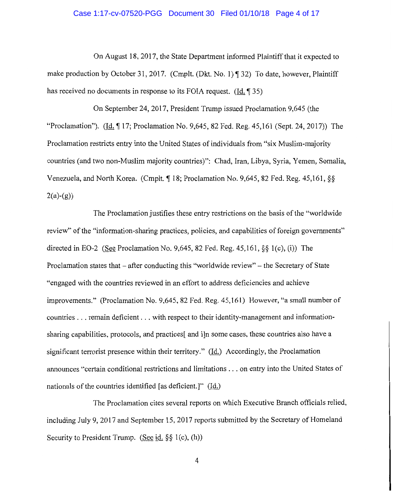#### Case 1:17-cv-07520-PGG Document 30 Filed 01/10/18 Page 4 of 17

On August 18, 2017, the State Department informed Plaintiff that it expected to make production by October 31, 2017. (Cmplt. (Dkt. No. 1)  $\P$  32) To date, however, Plaintiff has received no documents in response to its FOIA request. (Id.  $\sqrt{35}$ )

On September 24, 2017, President Trump issued Proclamation 9,645 (the "Proclamation"). (Id.  $\P$  17; Proclamation No. 9,645, 82 Fed. Reg. 45,161 (Sept. 24, 2017)) The Proclamation restricts entry into the United States of individuals from "six Muslim-majority countries (and two non-Muslim majority countries)": Chad, Iran, Libya, Syria, Yemen, Somalia, Venezuela, and North Korea. (Cmplt. ¶ 18; Proclamation No. 9,645, 82 Fed. Reg. 45,161, §§  $2(a)-(g)$ 

The Proclamation justifies these entry restrictions on the basis of the "worldwide review" of the "information-sharing practices, policies, and capabilities of foreign governments" directed in E0-2 (See Proclamation No. 9,645, 82 Fed. Reg. 45,161, §§ l(c), (i)) The Proclamation states that – after conducting this "worldwide review" – the Secretary of State "engaged with the countries reviewed in an effort to address deficiencies and achieve improvements." (Proclamation No. 9,645, 82 Fed. Reg. 45, 161) However, "a small number of countries ... remain deficient ... with respect to their identity-management and informationsharing capabilities, protocols, and practices[ and i]n some cases, these countries also have a significant terrorist presence within their territory." ( $\underline{Id}$ .) Accordingly, the Proclamation announces "certain conditional restrictions and limitations ... on entry into the United States of nationals of the countries identified [as deficient.]" ( $\underline{Id}$ )

The Proclamation cites several reports on which Executive Branch officials relied, including July 9, 2017 and September 15, 2017 reports submitted by the Secretary of Homeland Security to President Trump. (See id.  $\S$ § 1(c), (h))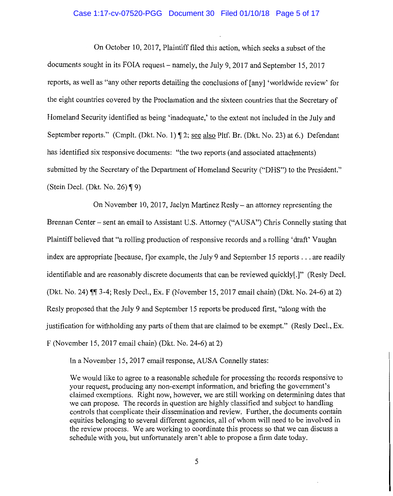### Case 1:17-cv-07520-PGG Document 30 Filed 01/10/18 Page 5 of 17

On October 10, 2017, Plaintiff filed this action, which seeks a subset of the documents sought in its FOIA request-namely, the July 9, 2017 and September 15, 2017 reports, as well as "any other reports detailing the conclusions of [any] 'worldwide review' for the eight countries covered by the Proclamation and the sixteen countries that the Secretary of Homeland Security identified as being 'inadequate,' to the extent not included in the July and September reports." (Cmplt. (Dkt. No. 1) ¶ 2; see also Pltf. Br. (Dkt. No. 23) at 6.) Defendant has identified six responsive documents: "the two reports (and associated attachments) submitted by the Secretary of the Department of Homeland Security ("DHS") to the President." (Stein Decl. (Dkt. No. 26)  $\P$ 9)

On November 10, 2017, Jaclyn Martinez Resly- an attorney representing the Brennan Center - sent an email to Assistant U.S. Attorney ("AUSA") Chris Connelly stating that Plaintiff believed that "a rolling production of responsive records and a rolling 'draft' Vaughn index are appropriate [because, f]or example, the July 9 and September 15 reports ... are readily identifiable and are reasonably discrete documents that can be reviewed quickly[.]" (Resly Deel. (Dkt. No. 24)  $\P$  $\P$  $3-4$ ; Resly Decl., Ex. F (November 15, 2017 email chain) (Dkt. No. 24-6) at 2) Resly proposed that the July 9 and September 15 reports be produced first, "along with the justification for withholding any parts of them that are claimed to be exempt." (Resly Deel., Ex. F (November 15, 2017 email chain) (Dkt. No. 24-6) at 2)

In a November 15, 2017 email response, AUSA Connelly states:

We would like to agree to a reasonable schedule for processing the records responsive to your request, producing any non-exempt information, and briefing the government's claimed exemptions. Right now, however, we are still working on determining dates that we can propose. The records in question are highly classified and subject to handling controls that complicate their dissemination and review. Further, the documents contain equities belonging to several different agencies, all of whom will need to be involved in the review process. We are working to coordinate this process so that we can discuss a schedule with you, but unfortunately aren't able to propose a firm date today.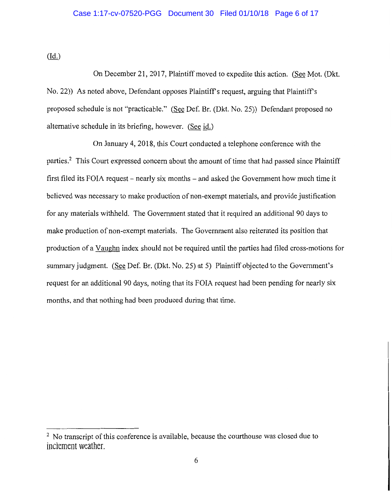## Case 1:17-cv-07520-PGG Document 30 Filed 01/10/18 Page 6 of 17

(Id.)

On December 21, 2017, Plaintiff moved to expedite this action. (See Mot. (Dkt. No. 22)) As noted above, Defendant opposes Plaintiff's request, arguing that Plaintiff's proposed schedule is not "practicable." (See Def. Br. (Dkt. No. 25)) Defendant proposed no alternative schedule in its briefing, however. (See id.)

On January 4, 2018, this Court conducted a telephone conference with the parties.<sup>2</sup> This Court expressed concern about the amount of time that had passed since Plaintiff first filed its FOIA request – nearly six months – and asked the Government how much time it believed was necessary to make production of non-exempt materials, and provide justification for any materials withheld. The Government stated that it required an additional 90 days to make production of non-exempt materials. The Government also reiterated its position that production of a Vaughn index should not be required until the parties had filed cross-motions for summary judgment. (See Def. Br. (Dkt. No. 25) at 5) Plaintiff objected to the Government's request for an additional 90 days, noting that its FOIA request had been pending for nearly six months, and that nothing had been produced during that time.

<sup>&</sup>lt;sup>2</sup> No transcript of this conference is available, because the courthouse was closed due to inclement weather.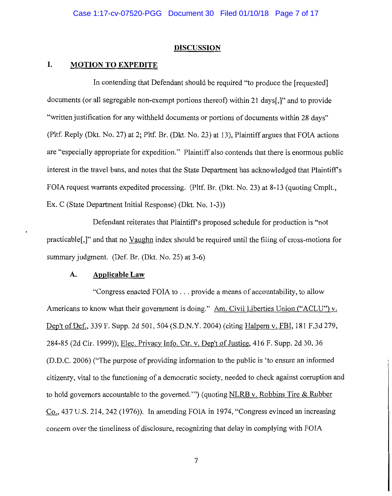#### **DISCUSSION**

## **I. MOTION TO EXPEDITE**

In contending that Defendant should be required "to produce the [requested] documents (or all segregable non-exempt portions thereof) within 21 days[,]" and to provide "written justification for any withheld documents or portions of documents within 28 days" (Pltf. Reply (Dkt. No. 27) at 2; Pltf. Br. (Dkt. No. 23) at 13), Plaintiff argues that FOIA actions are "especially appropriate for expedition." Plaintiff also contends that there is enormous public interest in the travel bans, and notes that the State Department has acknowledged that Plaintiff's FOIA request warrants expedited processing. (Pltf. Br. (Dkt. No. 23) at 8-13 (quoting Cmplt., Ex. C (State Department Initial Response) (Dkt. No. 1-3))

Defendant reiterates that Plaintiff's proposed schedule for production is "not practicable[,]" and that no Vaughn index should be required until the filing of cross-motions for summary judgment. (Def. Br. (Dkt. No. 25) at 3-6)

#### **A. Applicable Law**

"Congress enacted FOIA to ... provide a means of accountability, to allow Americans to know what their government is doing." Am. Civil Liberties Union ("ACLU") v. Dep't of Def., 339 F. Supp. 2d 501, 504 (S.D.N.Y. 2004) (citing Halpern v. FBI, 181 F.3d 279, 284-85 (2d Cir. 1999)); Elec. Privacy Info. Ctr. v. Dep't of Justice, 416 F. Supp. 2d 30, 36 (D.D.C. 2006) ("The purpose of providing information to the public is 'to ensure an informed citizenry, vital to the functioning of a democratic society, needed to check against corruption and to hold governors accountable to the governed."') (quoting NLRB v. Robbins Tire & Rubber Co., 437 U.S. 214, 242 (1976)). In amending FOIA in 1974, "Congress evinced an increasing concern over the timeliness of disclosure, recognizing that delay in complying with FOIA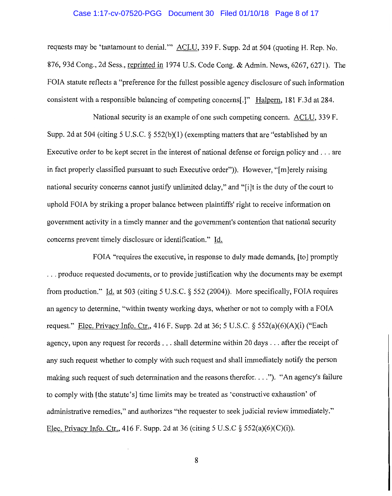### Case 1:17-cv-07520-PGG Document 30 Filed 01/10/18 Page 8 of 17

requests may be 'tantamount to denial." ACLU, 339 F. Supp. 2d at 504 (quoting H. Rep. No. 876, 93d Cong., 2d Sess., reprinted in 1974 U.S. Code Cong. & Admin. News, 6267, 6271). The FOIA statute reflects a "preference for the fullest possible agency disclosure of such information consistent with a responsible balancing of competing concerns[.]" Halpern, 181 F.3d at 284.

National security is an example of one such competing concern. ACLU, 339 F. Supp. 2d at 504 (citing 5 U.S.C.  $\S$  552(b)(1) (exempting matters that are "established by an Executive order to be kept secret in the interest of national defense or foreign policy and ... are in fact properly classified pursuant to such Executive order")). However, "[m]erely raising national security concerns cannot justify unlimited delay," and "[i]t is the duty of the court to uphold FOIA by striking a proper balance between plaintiffs' right to receive information on government activity in a timely manner and the government's contention that national security concerns prevent timely disclosure or identification." Id.

FOIA "requires the executive, in response to duly made demands, [to] promptly ... produce requested documents, or to provide justification why the documents may be exempt from production." Id. at 503 (citing 5 U.S.C. § 552 (2004)). More specifically, FOIA requires an agency to determine, "within twenty working days, whether or not to comply with a FOIA request." Elec. Privacy Info. Ctr., 416 F. Supp. 2d at 36; 5 U.S.C.  $\S$  552(a)(6)(A)(i) ("Each agency, upon any request for records ... shall determine within 20 days ... after the receipt of any such request whether to comply with such request and shall immediately notify the person making such request of such determination and the reasons therefor. ... "). "An agency's failure to comply with [the statute's] time limits may be treated as 'constructive exhaustion' of administrative remedies," and authorizes "the requester to seek judicial review immediately." Elec. Privacy Info. Ctr., 416 F. Supp. 2d at 36 (citing 5 U.S.C *§* 552(a)(6)(C)(i)).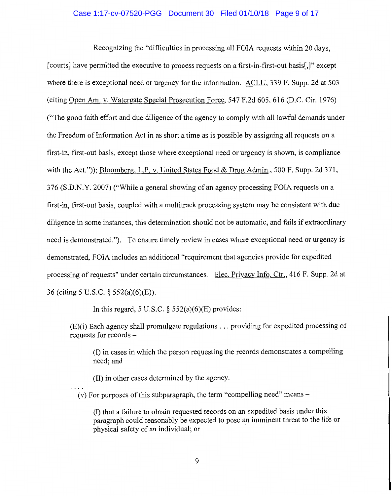### Case 1:17-cv-07520-PGG Document 30 Filed 01/10/18 Page 9 of 17

Recognizing the "difficulties in processing all FOIA requests within 20 days, [courts] have permitted the executive to process requests on a first-in-first-out basis[.]" except where there is exceptional need or urgency for the information. ACLU, 339 F. Supp. 2d at 503 (citing Open Am. v. Watergate Special Prosecution Force, 547 F.2d 605, 616 (D.C. Cir. 1976) ("The good faith effort and due diligence of the agency to comply with all lawful demands under the Freedom of Information Act in as short a time as is possible by assigning all requests on a first-in, first-out basis, except those where exceptional need or urgency is shown, is compliance with the Act.")); Bloomberg, L.P. v. United States Food & Drug Admin., 500 F. Supp. 2d 371, 376 (S.D.N.Y. 2007) ("While a general showing of an agency processing FOIA requests on a first-in, first-out basis, coupled with a multitrack processing system may be consistent with due diligence in some instances, this determination should not be automatic, and fails if extraordinary need is demonstrated."). To ensure timely review in cases where exceptional need or urgency is demonstrated, FOIA includes an additional "requirement that agencies provide for expedited processing of requests" under certain circumstances. Elec. Privacy Info. Ctr., 416 F. Supp. 2d at 36 (citing 5 U.S.C. § 552(a)(6)(E)).

In this regard, 5 U.S.C.  $\S$  552(a)(6)(E) provides:

(E)(i) Each agency shall promulgate regulations ... providing for expedited processing of requests for records -

(I) in cases in which the person requesting the records demonstrates a compelling need; and

(II) in other cases determined by the agency.

 $(v)$  For purposes of this subparagraph, the term "compelling need" means  $-$ 

(I) that a failure to obtain requested records on an expedited basis under this paragraph could reasonably be expected to pose an imminent threat to the life or physical safety of an individual; or ·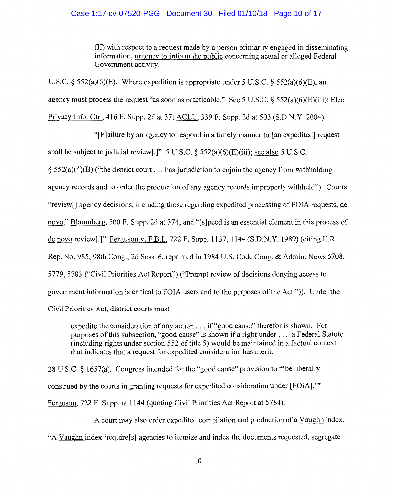## Case 1:17-cv-07520-PGG Document 30 Filed 01/10/18 Page 10 of 17

(II) with respect to a request made by a person primarily engaged in disseminating information, urgency to inform the public concerning actual or alleged Federal Government activity.

U.S.C. *§* 552(a)(6)(E). Where expedition is appropriate under 5 U.S.C. *§* 552(a)(6)(E), an agency must process the request "as soon as practicable." See 5 U.S.C. § 552(a)(6)(E)(iii); Elec. Privacy Info. Ctr., 416 F. Supp. 2d at 37; ACLU, 339 F. Supp. 2d at 503 (S.D.N.Y. 2004).

"[F]ailure by an agency to respond in a timely manner to [an expedited] request

shall be subject to judicial review[.]" 5 U.S.C. § 552(a)(6)(E)(iii); see also 5 U.S.C.

 $\S$  552(a)(4)(B) ("the district court ... has jurisdiction to enjoin the agency from withholding

agency records and to order the production of any agency records improperly withheld"). Courts

"review[] agency decisions, including those regarding expedited processing of FOIA requests, de

novo," Bloomberg, 500 F. Supp. 2d at 374, and "[s]peed is an essential element in this process of

de novo review[.]" Ferguson v. F.B.I., 722 F. Supp. 1137, 1144 (S.D.N.Y. 1989) (citing H.R.

Rep. No. 985, 98th Cong., 2d Sess. 6, reprinted in 1984 U.S. Code Cong. & Admin. News 5708,

5779, 5783 ("Civil Priorities Act Report") ("Prompt review of decisions denying access to

government information is critical to FOIA users and to the purposes of the Act.")). Under the

Civil Priorities Act, district courts must

expedite the consideration of any action ... if "good cause" therefor is shown. For purposes of this subsection, "good cause" is shown if a right under . . . a Federal Statute (including rights under section 552 of title 5) would be maintained in a factual context that indicates that a request for expedited consideration has merit.

28 U.S.C. § 1657(a). Congress intended for the "good cause" provision to "'be liberally construed by the courts in granting requests for expedited consideration under [FOIA]. '" Ferguson, 722 F. Supp. at 1144 (quoting Civil Priorities Act Report at 5784).

A court may also order expedited compilation and production of a Vaughn index.

"A Vaughn index 'require[s] agencies to itemize and index the documents requested, segregate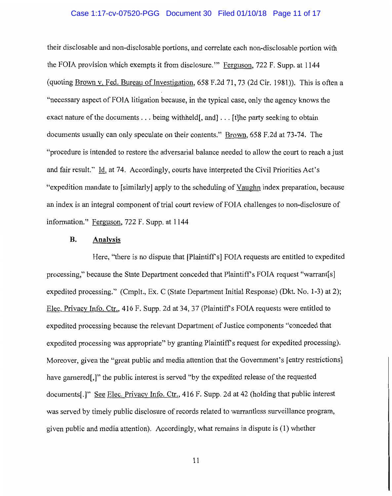#### Case 1:17-cv-07520-PGG Document 30 Filed 01/10/18 Page 11 of 17

their disclosable and non-disclosable portions, and correlate each non-disclosable portion with the FOIA provision which exempts it from disclosure.'" Ferguson, 722 F. Supp. at 1144 (quoting Brown v. Fed. Bureau of Investigation,  $658$  F.2d  $71$ ,  $73$  (2d Cir. 1981)). This is often a "necessary aspect of FOIA litigation because, in the typical case, only the agency knows the exact nature of the documents . . . being withheld, and . . . [t]he party seeking to obtain documents usually can only speculate on their contents." Brown, 658 F.2d at 73-74. The "procedure is intended to restore the adversarial balance needed to allow the court to reach a just and fair result." Id. at 74. Accordingly, courts have interpreted the Civil Priorities Act's "expedition mandate to [similarly] apply to the scheduling of Vaughn index preparation, because an index is an integral component of trial court review of FOIA challenges to non-disclosure of information." Ferguson, 722 F. Supp. at 1144

#### **B. Analysis**

Here, "there is no dispute that [Plaintiff's] FOIA requests are entitled to expedited processing," because the State Department conceded that Plaintiff's FOIA request "warrant[s] expedited processing." (Cmplt., Ex. C (State Department Initial Response) (Dkt. No. 1-3) at 2); Elec. Privacy Info. Ctr., 416 F. Supp. 2d at 34, 37 (Plaintiff's FOIA requests were entitled to expedited processing because the relevant Department of Justice components "conceded that expedited processing was appropriate" by granting Plaintiff's request for expedited processing). Moreover, given the "great public and media attention that the Government's [entry restrictions] have garnered.]" the public interest is served "by the expedited release of the requested documents[.]" See Elec. Privacy Info. Ctr., 416 F. Supp. 2d at 42 (holding that public interest was served by timely public disclosure of records related to warrantless surveillance program, given public and media attention). Accordingly, what remains in dispute is (1) whether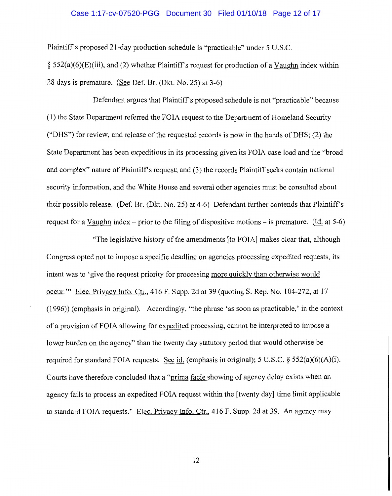#### Case 1:17-cv-07520-PGG Document 30 Filed 01/10/18 Page 12 of 17

Plaintiffs proposed 21-day production schedule is "practicable" under 5 U.S.C.  $\S$  552(a)(6)(E)(iii), and (2) whether Plaintiff's request for production of a Vaughn index within 28 days is premature. (See Def. Br. (Dkt. No. 25) at 3-6)

Defendant argues that Plaintiff's proposed schedule is not "practicable" because (1) the State Department referred the FOIA request to the Department of Homeland Security ("DHS") for review, and release of the requested records is now in the hands of DHS; (2) the State Department has been expeditious in its processing given its FOIA case load and the "broad and complex" nature of Plaintiff's request; and (3) the records Plaintiff seeks contain national security information, and the White House and several other agencies must be consulted about their possible release. (Def. Br. (Dkt. No. 25) at 4-6) Defendant further contends that Plaintiffs request for a Vaughn index – prior to the filing of dispositive motions – is premature. (Id. at 5-6)

"The legislative history of the amendments [to FOIA] makes clear that, although Congress opted not to impose a specific deadline on agencies processing expedited requests, its intent was to 'give the request priority for processing more quickly than otherwise would occur."' Elec. Privacy Info. Ctr., 416 F. Supp. 2d at 39 (quoting S. Rep. No. 104-272, at 17 (1996)) (emphasis in original). Accordingly, "the phrase 'as soon as practicable,' in the context of a provision of FOIA allowing for expedited processing, cannot be interpreted to impose a lower burden on the agency" than the twenty day statutory period that would otherwise be required for standard FOIA requests. See id. (emphasis in original); 5 U.S.C.  $\S$  552(a)(6)(A)(i). Courts have therefore concluded that a "prima facie showing of agency delay exists when an agency fails to process an expedited FOIA request within the [twenty day] time limit applicable to standard FOIA requests." Elec. Privacy Info. Ctr., 416 F. Supp. 2d at 39. An agency may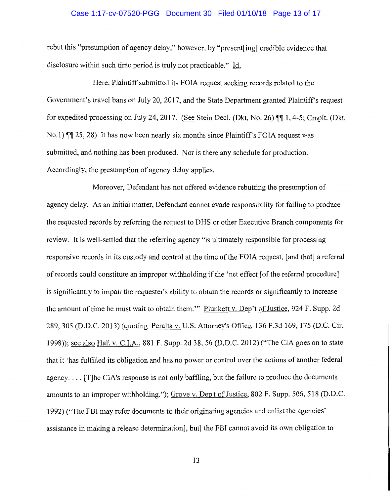#### Case 1:17-cv-07520-PGG Document 30 Filed 01/10/18 Page 13 of 17

rebut this "presumption of agency delay," however, by "present[ing] credible evidence that disclosure within such time period is truly not practicable." Id.

Here, Plaintiff submitted its FOIA request seeking records related to the Government's travel bans on July 20, 2017, and the State Department granted Plaintiff's request for expedited processing on July 24, 2017. (See Stein Decl. (Dkt. No. 26)  $\P\P$  1, 4-5; Cmplt. (Dkt. No.1)  $\P$ [ $\otimes$  25, 28) It has now been nearly six months since Plaintiff's FOIA request was submitted, and nothing has been produced. Nor is there any schedule for production. Accordingly, the presumption of agency delay applies.

Moreover, Defendant has not offered evidence rebutting the presumption of agency delay. As an initial matter, Defendant cannot evade responsibility for failing to produce the requested records by referring the request to DHS or other Executive Branch components for review. It is well-settled that the referring agency "is ultimately responsible for processing responsive records in its custody and control at the time of the FOIA request, [and that] a referral of records could constitute an improper withholding if the 'net effect [of the referral procedure] is significantly to impair the requester's ability to obtain the records or significantly to increase the amount of time he must wait to obtain them."' Plunkett v. Dep't of Justice, 924 F. Supp. 2d 289, 305 (D.D.C. 2013) (quoting Peralta v. U.S. Attorney's Office, 136 F.3d 169, 175 (D.C. Cir. 1998)); see also Hall v. CJ.A., 881 F. Supp. 2d 38, 56 (D.D.C. 2012) ("The CIA goes on to state that it 'has fulfilled its obligation and has no power or control over the actions of another federal agency.... [T]he CIA's response is not only baffling, but the failure to produce the documents amounts to an improper withholding."); Grove v. Dep't of Justice, 802 F. Supp. 506, 518 (D.D.C. 1992) ("The FBI may refer documents to their originating agencies and enlist the agencies' assistance in making a release determination[, but] the FBI cannot avoid its own obligation to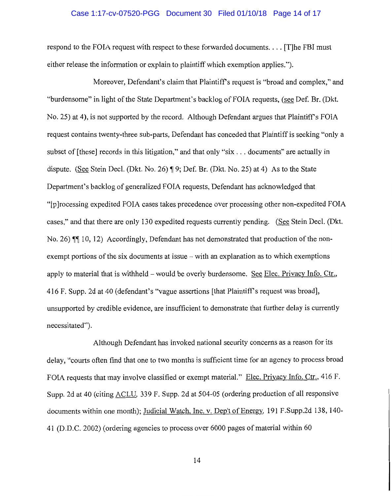#### Case 1:17-cv-07520-PGG Document 30 Filed 01/10/18 Page 14 of 17

respond to the FOIA request with respect to these forwarded documents .... [T]he FBI must either release the information or explain to plaintiff which exemption applies.").

Moreover, Defendant's claim that Plaintiff's request is "broad and complex," and "burdensome" in light of the State Department's backlog of FOIA requests, (see Def. Br. (Dkt.) No. 25) at 4), is not supported by the record. Although Defendant argues that Plaintiff's FOIA request contains twenty-three sub-parts, Defendant has conceded that Plaintiff is seeking "only a subset of [these] records in this litigation," and that only "six ... documents" are actually in dispute. (See Stein Decl. (Dkt. No. 26)  $\P$  9; Def. Br. (Dkt. No. 25) at 4) As to the State Department's backlog of generalized FOIA requests, Defendant has acknowledged that "[p]rocessing expedited FOIA cases takes precedence over processing other non-expedited FOIA cases," and that there are only 130 expedited requests currently pending. (See Stein Deel. (Dkt. No. 26)  $\P\P$  10, 12) Accordingly, Defendant has not demonstrated that production of the nonexempt portions of the six documents at issue – with an explanation as to which exemptions apply to material that is withheld - would be overly burdensome. See Elec. Privacy Info. Ctr., 416 F. Supp. 2d at 40 (defendant's "vague assertions [that Plaintiff's request was broad], unsupported by credible evidence, are insufficient to demonstrate that further delay is currently necessitated").

Although Defendant has invoked national security concerns as a reason for its delay, "courts often find that one to two months is sufficient time for an agency to process broad FOIA requests that may involve classified or exempt material." Elec. Privacy Info. Ctr., 416 F. Supp. 2d at 40 (citing ACLU. 339 F. Supp. 2d at 504-05 (ordering production of all responsive documents within one month); Judicial Watch, Inc. v. Dep't of Energy, 191 F.Supp.2d 138, 140- 41 (D.D.C. 2002) (ordering agencies to process over 6000 pages of material within 60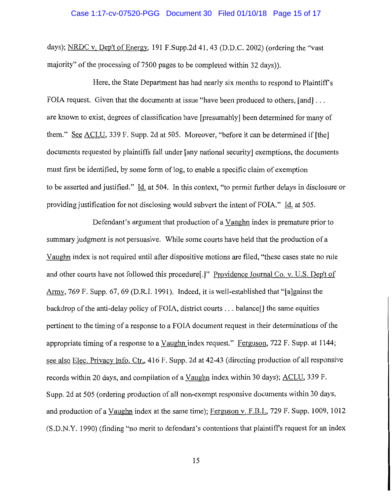### Case 1:17-cv-07520-PGG Document 30 Filed 01/10/18 Page 15 of 17

days); NRDC v. Dep't of Energy, 191 F.Supp.2d 41, 43 (D.D.C. 2002) (ordering the "vast majority" of the processing of 7500 pages to be completed within 32 days)).

Here, the State Department has had nearly six months to respond to Plaintiff's FOIA request. Given that the documents at issue "have been produced to others, [and] ... are known to exist, degrees of classification have [presumably] been determined for many of them." See ACLU, 339 F. Supp. 2d at 505. Moreover, "before it can be determined if [the] documents requested by plaintiffs fall under [any national security] exemptions, the documents must first be identified, by some form of log, to enable a specific claim of exemption to be asserted and justified." Id. at 504. In this context, "to permit further delays in disclosure or providing justification for not disclosing would subvert the intent of FOIA." Id. at 505.

Defendant's argument that production of a Vaughn index is premature prior to summary judgment is not persuasive. While some courts have held that the production of a Vaughn index is not required until after dispositive motions are filed, "these cases state no rule and other courts have not followed this procedure[.]" Providence Journal Co. v. U.S. Dep't of Army, 769 F. Supp. 67, 69 (D.R.I. 1991). Indeed, it is well-established that "[a]gainst the backdrop of the anti-delay policy of FOIA, district courts ... balance[] the same equities pertinent to the timing of a response to a FOIA document request in their determinations of the appropriate timing of a response to a Vaughn index request." Ferguson, 722 F. Supp. at 1144; see also Elec. Privacy Info. Ctr., 416 F. Supp. 2d at 42-43 (directing production of all responsive records within 20 days, and compilation of a Vaughn index within 30 days); ACLU, 339 F. Supp. 2d at 505 (ordering production of all non-exempt responsive documents within 30 days, and production of a Vaughn index at the same time); Ferguson v. F.B.I., 729 F. Supp. 1009, 1012 (S.D.N.Y. 1990) (finding "no merit to defendant's contentions that plaintiffs request for an index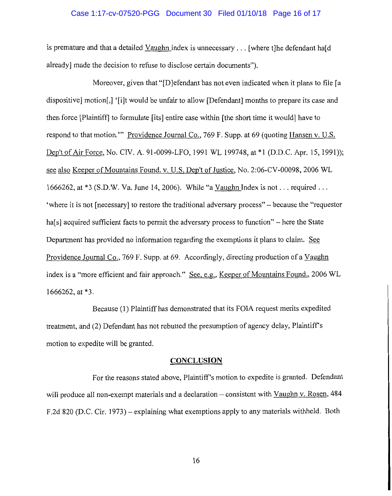### Case 1:17-cv-07520-PGG Document 30 Filed 01/10/18 Page 16 of 17

is premature and that a detailed Vaughn index is unnecessary  $\ldots$  [where the defendant hald already] made the decision to refuse to disclose certain documents").

Moreover, given that "[D]efendant has not even indicated when it plans to file [a dispositive] motion[.] '[i]t would be unfair to allow [Defendant] months to prepare its case and then force [Plaintiff] to formulate [its] entire case within [the short time it would) have to respond to that motion.'" Providence Journal Co., 769 F. Supp. at 69 (quoting Hansen v. U.S. Dep't of Air Force, No. CIV. A. 91-0099-LFO, 1991 WL 199748, at \*1 (D.D.C. Apr. 15, 1991)); see also Keeper of Mountains Found. v. U.S. Dep't of Justice, No. 2:06-CV-00098, 2006 WL 1666262, at \*3 (S.D.W. Va. June 14, 2006). While "a Vaughn Index is not ... required ... 'where it is not [necessary] to restore the traditional adversary process" - because the "requestor ha<sup>[s]</sup> acquired sufficient facts to permit the adversary process to function" – here the State Department has provided no information regarding the exemptions it plans to claim. See Providence Journal Co., 769 F. Supp. at 69. Accordingly, directing production of a Vaughn index is a "more efficient and fair approach." See, e.g., Keeper of Mountains Found., 2006 WL 1666262, at \*3.

Because (1) Plaintiff has demonstrated that its FOIA request merits expedited treatment, and (2) Defendant has not rebutted the presumption of agency delay, Plaintiff's motion to expedite will be granted.

### **CONCLUSION**

For the reasons stated above, Plaintiff's motion to expedite is granted. Defendant will produce all non-exempt materials and a declaration – consistent with Vaughn v. Rosen, 484 F.2d 820 (D.C. Cir. 1973) - explaining what exemptions apply to any materials withheld. Both